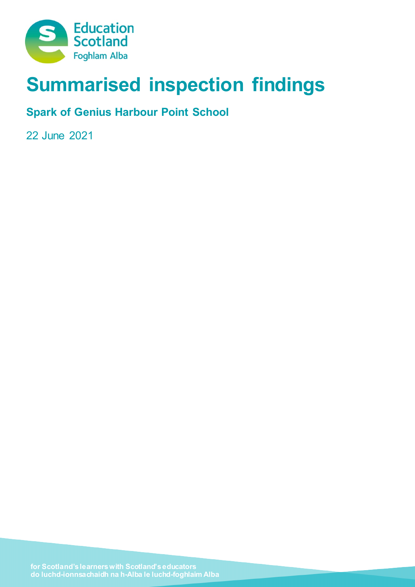

# **Summarised inspection findings**

## **Spark of Genius Harbour Point School**

22 June 2021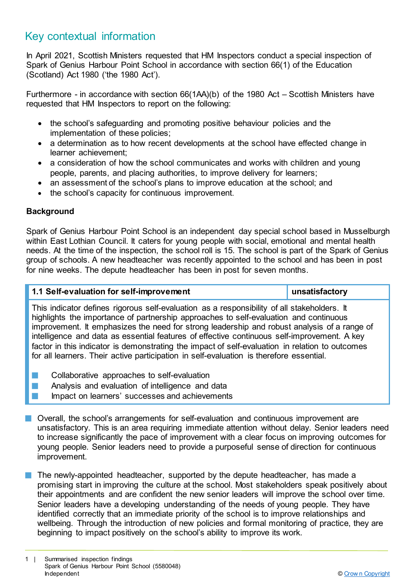### Key contextual information

In April 2021, Scottish Ministers requested that HM Inspectors conduct a special inspection of Spark of Genius Harbour Point School in accordance with section 66(1) of the Education (Scotland) Act 1980 ('the 1980 Act').

Furthermore - in accordance with section 66(1AA)(b) of the 1980 Act – Scottish Ministers have requested that HM Inspectors to report on the following:

- the school's safeguarding and promoting positive behaviour policies and the implementation of these policies;
- a determination as to how recent developments at the school have effected change in learner achievement;
- a consideration of how the school communicates and works with children and young people, parents, and placing authorities, to improve delivery for learners;
- an assessment of the school's plans to improve education at the school; and
- the school's capacity for continuous improvement.

#### **Background**

Spark of Genius Harbour Point School is an independent day special school based in Musselburgh within East Lothian Council. It caters for young people with social, emotional and mental health needs. At the time of the inspection, the school roll is 15. The school is part of the Spark of Genius group of schools. A new headteacher was recently appointed to the school and has been in post for nine weeks. The depute headteacher has been in post for seven months.

| 1.1 Self-evaluation for self-improvement | unsatisfactory |
|------------------------------------------|----------------|
|------------------------------------------|----------------|

This indicator defines rigorous self-evaluation as a responsibility of all stakeholders. It highlights the importance of partnership approaches to self-evaluation and continuous improvement. It emphasizes the need for strong leadership and robust analysis of a range of intelligence and data as essential features of effective continuous self-improvement. A key factor in this indicator is demonstrating the impact of self-evaluation in relation to outcomes for all learners. Their active participation in self-evaluation is therefore essential.

- **n** Collaborative approaches to self-evaluation
- **n** Analysis and evaluation of intelligence and data
- **n** Impact on learners' successes and achievements
- **n** Overall, the school's arrangements for self-evaluation and continuous improvement are unsatisfactory. This is an area requiring immediate attention without delay. Senior leaders need to increase significantly the pace of improvement with a clear focus on improving outcomes for young people. Senior leaders need to provide a purposeful sense of direction for continuous improvement.
- $\blacksquare$  The newly-appointed headteacher, supported by the depute headteacher, has made a promising start in improving the culture at the school. Most stakeholders speak positively about their appointments and are confident the new senior leaders will improve the school over time. Senior leaders have a developing understanding of the needs of young people. They have identified correctly that an immediate priority of the school is to improve relationships and wellbeing. Through the introduction of new policies and formal monitoring of practice, they are beginning to impact positively on the school's ability to improve its work.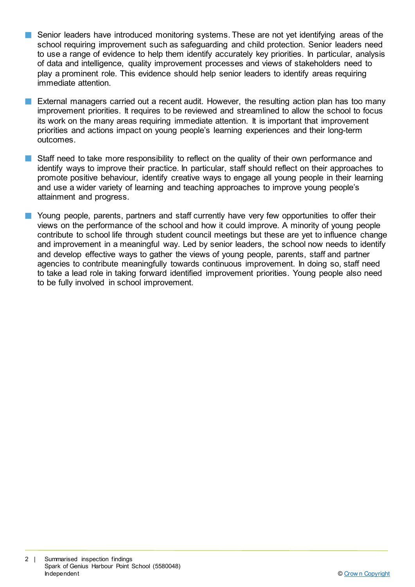- **n** Senior leaders have introduced monitoring systems. These are not yet identifying areas of the school requiring improvement such as safeguarding and child protection. Senior leaders need to use a range of evidence to help them identify accurately key priorities. In particular, analysis of data and intelligence, quality improvement processes and views of stakeholders need to play a prominent role. This evidence should help senior leaders to identify areas requiring immediate attention.
- **External managers carried out a recent audit. However, the resulting action plan has too many** improvement priorities. It requires to be reviewed and streamlined to allow the school to focus its work on the many areas requiring immediate attention. It is important that improvement priorities and actions impact on young people's learning experiences and their long-term outcomes.
- **n** Staff need to take more responsibility to reflect on the quality of their own performance and identify ways to improve their practice. In particular, staff should reflect on their approaches to promote positive behaviour, identify creative ways to engage all young people in their learning and use a wider variety of learning and teaching approaches to improve young people's attainment and progress.
- **n** Young people, parents, partners and staff currently have very few opportunities to offer their views on the performance of the school and how it could improve. A minority of young people contribute to school life through student council meetings but these are yet to influence change and improvement in a meaningful way. Led by senior leaders, the school now needs to identify and develop effective ways to gather the views of young people, parents, staff and partner agencies to contribute meaningfully towards continuous improvement. In doing so, staff need to take a lead role in taking forward identified improvement priorities. Young people also need to be fully involved in school improvement.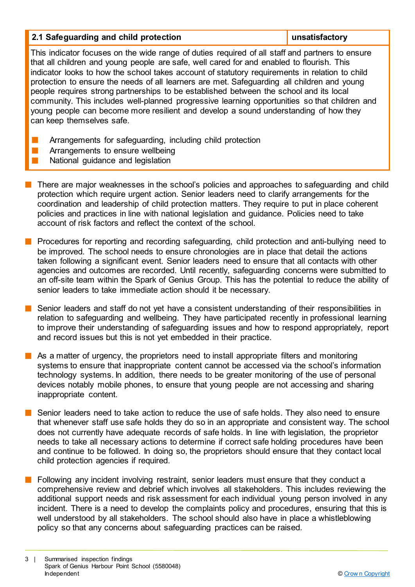#### **2.1 Safeguarding and child protection unsatisfactory**

This indicator focuses on the wide range of duties required of all staff and partners to ensure that all children and young people are safe, well cared for and enabled to flourish. This indicator looks to how the school takes account of statutory requirements in relation to child protection to ensure the needs of all learners are met. Safeguarding all children and young people requires strong partnerships to be established between the school and its local community. This includes well-planned progressive learning opportunities so that children and young people can become more resilient and develop a sound understanding of how they can keep themselves safe.

- **n** Arrangements for safeguarding, including child protection
- $\blacksquare$  Arrangements to ensure wellbeing
- National guidance and legislation
- **n** There are major weaknesses in the school's policies and approaches to safeguarding and child protection which require urgent action. Senior leaders need to clarify arrangements for the coordination and leadership of child protection matters. They require to put in place coherent policies and practices in line with national legislation and guidance. Policies need to take account of risk factors and reflect the context of the school.
- **n** Procedures for reporting and recording safeguarding, child protection and anti-bullying need to be improved. The school needs to ensure chronologies are in place that detail the actions taken following a significant event. Senior leaders need to ensure that all contacts with other agencies and outcomes are recorded. Until recently, safeguarding concerns were submitted to an off-site team within the Spark of Genius Group. This has the potential to reduce the ability of senior leaders to take immediate action should it be necessary.
- Senior leaders and staff do not yet have a consistent understanding of their responsibilities in relation to safeguarding and wellbeing. They have participated recently in professional learning to improve their understanding of safeguarding issues and how to respond appropriately, report and record issues but this is not yet embedded in their practice.
- $\blacksquare$  As a matter of urgency, the proprietors need to install appropriate filters and monitoring systems to ensure that inappropriate content cannot be accessed via the school's information technology systems. In addition, there needs to be greater monitoring of the use of personal devices notably mobile phones, to ensure that young people are not accessing and sharing inappropriate content.
- $\blacksquare$  Senior leaders need to take action to reduce the use of safe holds. They also need to ensure that whenever staff use safe holds they do so in an appropriate and consistent way. The school does not currently have adequate records of safe holds. In line with legislation, the proprietor needs to take all necessary actions to determine if correct safe holding procedures have been and continue to be followed. In doing so, the proprietors should ensure that they contact local child protection agencies if required.
	- n Following any incident involving restraint, senior leaders must ensure that they conduct a comprehensive review and debrief which involves all stakeholders. This includes reviewing the additional support needs and risk assessment for each individual young person involved in any incident. There is a need to develop the complaints policy and procedures, ensuring that this is well understood by all stakeholders. The school should also have in place a whistleblowing policy so that any concerns about safeguarding practices can be raised.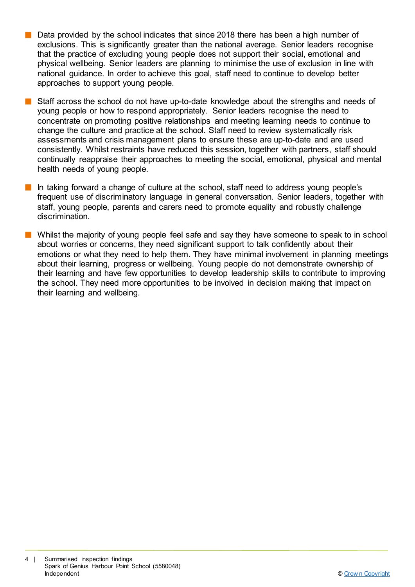- Data provided by the school indicates that since 2018 there has been a high number of exclusions. This is significantly greater than the national average. Senior leaders recognise that the practice of excluding young people does not support their social, emotional and physical wellbeing. Senior leaders are planning to minimise the use of exclusion in line with national guidance. In order to achieve this goal, staff need to continue to develop better approaches to support young people.
- **n** Staff across the school do not have up-to-date knowledge about the strengths and needs of young people or how to respond appropriately. Senior leaders recognise the need to concentrate on promoting positive relationships and meeting learning needs to continue to change the culture and practice at the school. Staff need to review systematically risk assessments and crisis management plans to ensure these are up-to-date and are used consistently. Whilst restraints have reduced this session, together with partners, staff should continually reappraise their approaches to meeting the social, emotional, physical and mental health needs of young people.
- n In taking forward a change of culture at the school, staff need to address young people's frequent use of discriminatory language in general conversation. Senior leaders, together with staff, young people, parents and carers need to promote equality and robustly challenge discrimination.
- $\blacksquare$  Whilst the majority of young people feel safe and say they have someone to speak to in school about worries or concerns, they need significant support to talk confidently about their emotions or what they need to help them. They have minimal involvement in planning meetings about their learning, progress or wellbeing. Young people do not demonstrate ownership of their learning and have few opportunities to develop leadership skills to contribute to improving the school. They need more opportunities to be involved in decision making that impact on their learning and wellbeing.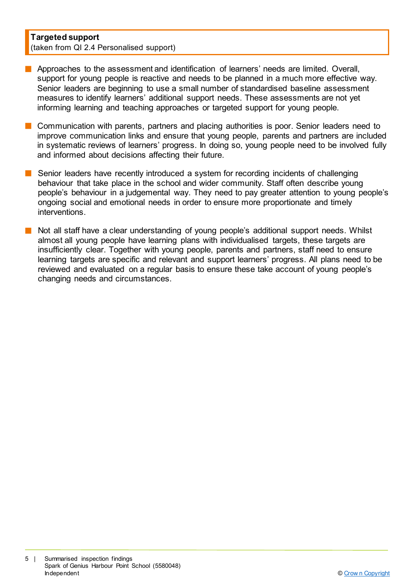#### **Targeted support** (taken from QI 2.4 Personalised support)

- **n** Approaches to the assessment and identification of learners' needs are limited. Overall, support for young people is reactive and needs to be planned in a much more effective way. Senior leaders are beginning to use a small number of standardised baseline assessment measures to identify learners' additional support needs. These assessments are not yet informing learning and teaching approaches or targeted support for young people.
- **n** Communication with parents, partners and placing authorities is poor. Senior leaders need to improve communication links and ensure that young people, parents and partners are included in systematic reviews of learners' progress. In doing so, young people need to be involved fully and informed about decisions affecting their future.
- $\blacksquare$  Senior leaders have recently introduced a system for recording incidents of challenging behaviour that take place in the school and wider community. Staff often describe young people's behaviour in a judgemental way. They need to pay greater attention to young people's ongoing social and emotional needs in order to ensure more proportionate and timely interventions.
- n Not all staff have a clear understanding of young people's additional support needs. Whilst almost all young people have learning plans with individualised targets, these targets are insufficiently clear. Together with young people, parents and partners, staff need to ensure learning targets are specific and relevant and support learners' progress. All plans need to be reviewed and evaluated on a regular basis to ensure these take account of young people's changing needs and circumstances.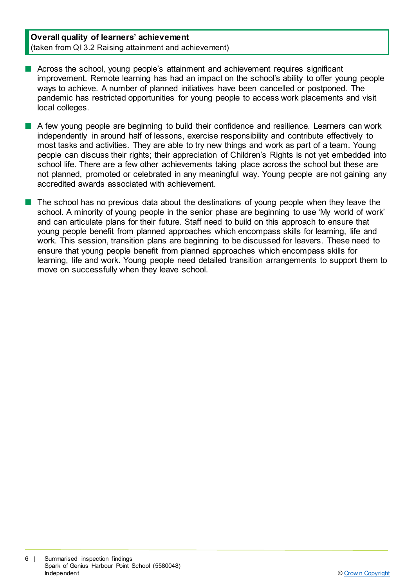#### **Overall quality of learners' achievement** (taken from QI 3.2 Raising attainment and achievement)

- Across the school, young people's attainment and achievement requires significant improvement. Remote learning has had an impact on the school's ability to offer young people ways to achieve. A number of planned initiatives have been cancelled or postponed. The pandemic has restricted opportunities for young people to access work placements and visit local colleges.
- A few young people are beginning to build their confidence and resilience. Learners can work independently in around half of lessons, exercise responsibility and contribute effectively to most tasks and activities. They are able to try new things and work as part of a team. Young people can discuss their rights; their appreciation of Children's Rights is not yet embedded into school life. There are a few other achievements taking place across the school but these are not planned, promoted or celebrated in any meaningful way. Young people are not gaining any accredited awards associated with achievement.
- $\blacksquare$  The school has no previous data about the destinations of young people when they leave the school. A minority of young people in the senior phase are beginning to use 'My world of work' and can articulate plans for their future. Staff need to build on this approach to ensure that young people benefit from planned approaches which encompass skills for learning, life and work. This session, transition plans are beginning to be discussed for leavers. These need to ensure that young people benefit from planned approaches which encompass skills for learning, life and work. Young people need detailed transition arrangements to support them to move on successfully when they leave school.